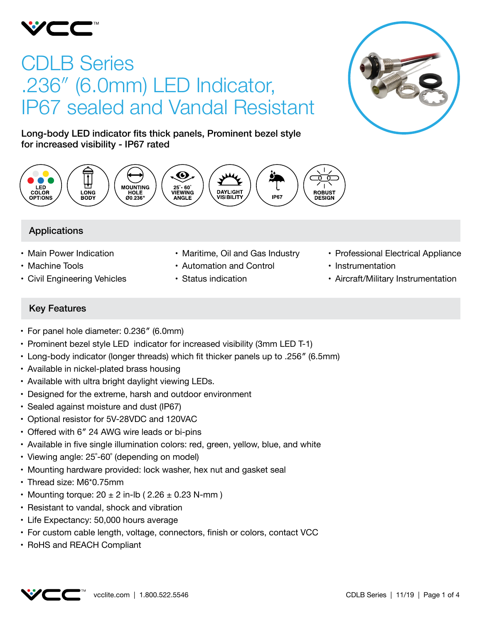

# CDLB Series .236″ (6.0mm) LED Indicator, IP67 sealed and Vandal Resistant



Long-body LED indicator fits thick panels, Prominent bezel style for increased visibility - IP67 rated



# Applications

- Main Power Indication
- Machine Tools
- • Civil Engineering Vehicles
- Maritime, Oil and Gas Industry
- • Automation and Control
- • Status indication
- Professional Electrical Appliance
- Instrumentation
- Aircraft/Military Instrumentation

# Key Features

- For panel hole diameter: 0.236" (6.0mm)
- Prominent bezel style LED indicator for increased visibility (3mm LED T-1)
- • Long-body indicator (longer threads) which fit thicker panels up to .256″ (6.5mm)
- Available in nickel-plated brass housing
- Available with ultra bright daylight viewing LEDs.
- Designed for the extreme, harsh and outdoor environment
- Sealed against moisture and dust (IP67)
- • Optional resistor for 5V-28VDC and 120VAC
- Offered with 6" 24 AWG wire leads or bi-pins
- • Available in five single illumination colors: red, green, yellow, blue, and white
- Viewing angle: 25°-60° (depending on model)
- Mounting hardware provided: lock washer, hex nut and gasket seal
- Thread size: M6\*0.75mm
- Mounting torque:  $20 \pm 2$  in-lb (  $2.26 \pm 0.23$  N-mm )
- Resistant to vandal, shock and vibration
- Life Expectancy: 50,000 hours average
- • For custom cable length, voltage, connectors, finish or colors, contact VCC
- • RoHS and REACH Compliant

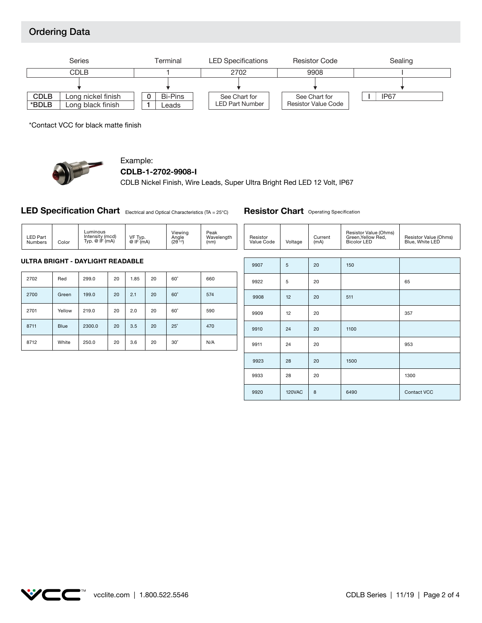# Ordering Data



\*Contact VCC for black matte finish



# Example:

**CDLB-1-2702-9908-I**

CDLB Nickel Finish, Wire Leads, Super Ultra Bright Red LED 12 Volt, IP67

**LED Specification Chart** Electrical and Optical Characteristics (TA = 25°C)

| <b>LED Part</b><br>Numbers | Color | Luminous<br>Intensity (mcd)<br>Typ. $@$ IF $(mA)$ | VF Typ.<br>@IF(mA) | Viewing<br>Angle<br>$(2\theta^{1/2})$ | Peak<br>Wavelength<br>(nm) |
|----------------------------|-------|---------------------------------------------------|--------------------|---------------------------------------|----------------------------|
|----------------------------|-------|---------------------------------------------------|--------------------|---------------------------------------|----------------------------|

#### **ULTRA BRIGHT - DAYLIGHT READABLE**

| 2702 | Red         | 299.0  | 20 | 1.85 | 20 | $60^\circ$ | 660 |
|------|-------------|--------|----|------|----|------------|-----|
| 2700 | Green       | 199.0  | 20 | 2.1  | 20 | $60^\circ$ | 574 |
| 2701 | Yellow      | 219.0  | 20 | 2.0  | 20 | $60^\circ$ | 590 |
| 8711 | <b>Blue</b> | 2300.0 | 20 | 3.5  | 20 | $25^\circ$ | 470 |
| 8712 | White       | 250.0  | 20 | 3.6  | 20 | $30^\circ$ | N/A |

| Resistor<br>Value Code | Voltage       | Current<br>(mA) | Resistor Value (Ohms)<br>Green,Yellow Red,<br>Bicolor LED | Resistor Value (Ohms)<br>Blue, White LED |
|------------------------|---------------|-----------------|-----------------------------------------------------------|------------------------------------------|
|                        |               |                 |                                                           |                                          |
| 9907                   | 5             | 20              | 150                                                       |                                          |
| 9922                   | 5             | 20              |                                                           | 65                                       |
| 9908                   | 12            | 20              | 511                                                       |                                          |
| 9909                   | 12            | 20              |                                                           | 357                                      |
| 9910                   | 24            | 20              | 1100                                                      |                                          |
| 9911                   | 24            | 20              |                                                           | 953                                      |
| 9923                   | 28            | 20              | 1500                                                      |                                          |
| 9933                   | 28            | 20              |                                                           | 1300                                     |
| 9920                   | <b>120VAC</b> | 8               | 6490                                                      | Contact VCC                              |

**Resistor Chart** Operating Specification

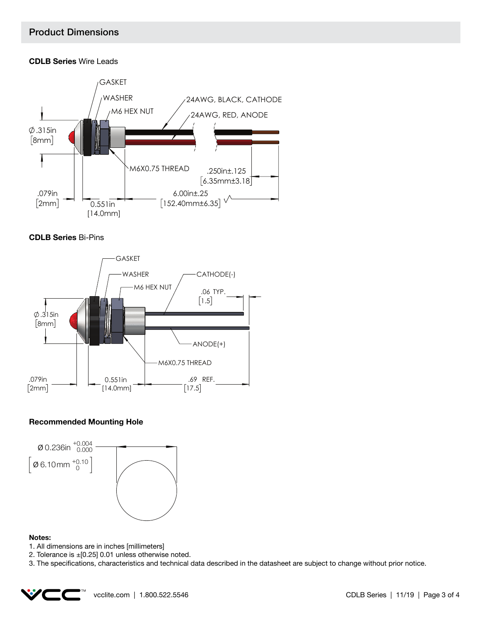#### **CDLB Series** Wire Leads







#### **Recommended Mounting Hole**



#### **Notes:**

- 1. All dimensions are in inches [millimeters]
- 2. Tolerance is  $\pm$  [0.25] 0.01 unless otherwise noted.
- 3. The specifications, characteristics and technical data described in the datasheet are subject to change without prior notice.